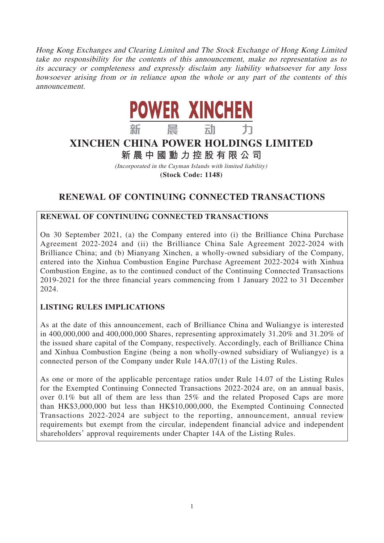Hong Kong Exchanges and Clearing Limited and The Stock Exchange of Hong Kong Limited take no responsibility for the contents of this announcement, make no representation as to its accuracy or completeness and expressly disclaim any liability whatsoever for any loss howsoever arising from or in reliance upon the whole or any part of the contents of this announcement.



# **XINCHEN CHINA POWER HOLDINGS LIMITED**

**新晨中國動力控股有限公 司**

(Incorporated in the Cayman Islands with limited liability) **(Stock Code: 1148)**

# **RENEWAL OF CONTINUING CONNECTED TRANSACTIONS**

# **RENEWAL OF CONTINUING CONNECTED TRANSACTIONS**

On 30 September 2021, (a) the Company entered into (i) the Brilliance China Purchase Agreement 2022-2024 and (ii) the Brilliance China Sale Agreement 2022-2024 with Brilliance China; and (b) Mianyang Xinchen, a wholly-owned subsidiary of the Company, entered into the Xinhua Combustion Engine Purchase Agreement 2022-2024 with Xinhua Combustion Engine, as to the continued conduct of the Continuing Connected Transactions 2019-2021 for the three financial years commencing from 1 January 2022 to 31 December 2024.

# **LISTING RULES IMPLICATIONS**

As at the date of this announcement, each of Brilliance China and Wuliangye is interested in 400,000,000 and 400,000,000 Shares, representing approximately 31.20% and 31.20% of the issued share capital of the Company, respectively. Accordingly, each of Brilliance China and Xinhua Combustion Engine (being a non wholly-owned subsidiary of Wuliangye) is a connected person of the Company under Rule 14A.07(1) of the Listing Rules.

As one or more of the applicable percentage ratios under Rule 14.07 of the Listing Rules for the Exempted Continuing Connected Transactions 2022-2024 are, on an annual basis, over 0.1% but all of them are less than 25% and the related Proposed Caps are more than HK\$3,000,000 but less than HK\$10,000,000, the Exempted Continuing Connected Transactions 2022-2024 are subject to the reporting, announcement, annual review requirements but exempt from the circular, independent financial advice and independent shareholders' approval requirements under Chapter 14A of the Listing Rules.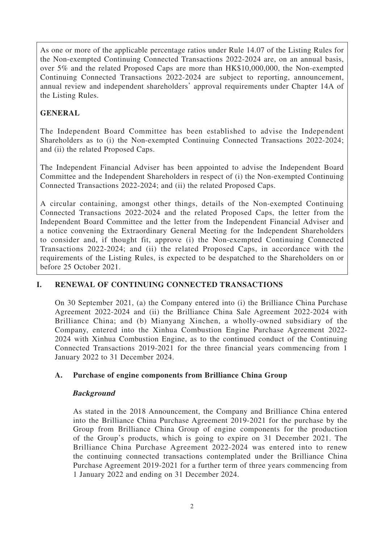As one or more of the applicable percentage ratios under Rule 14.07 of the Listing Rules for the Non-exempted Continuing Connected Transactions 2022-2024 are, on an annual basis, over 5% and the related Proposed Caps are more than HK\$10,000,000, the Non-exempted Continuing Connected Transactions 2022-2024 are subject to reporting, announcement, annual review and independent shareholders' approval requirements under Chapter 14A of the Listing Rules.

# **GENERAL**

The Independent Board Committee has been established to advise the Independent Shareholders as to (i) the Non-exempted Continuing Connected Transactions 2022-2024; and (ii) the related Proposed Caps.

The Independent Financial Adviser has been appointed to advise the Independent Board Committee and the Independent Shareholders in respect of (i) the Non-exempted Continuing Connected Transactions 2022-2024; and (ii) the related Proposed Caps.

A circular containing, amongst other things, details of the Non-exempted Continuing Connected Transactions 2022-2024 and the related Proposed Caps, the letter from the Independent Board Committee and the letter from the Independent Financial Adviser and a notice convening the Extraordinary General Meeting for the Independent Shareholders to consider and, if thought fit, approve (i) the Non-exempted Continuing Connected Transactions 2022-2024; and (ii) the related Proposed Caps, in accordance with the requirements of the Listing Rules, is expected to be despatched to the Shareholders on or before 25 October 2021.

# **I. RENEWAL OF CONTINUING CONNECTED TRANSACTIONS**

On 30 September 2021, (a) the Company entered into (i) the Brilliance China Purchase Agreement 2022-2024 and (ii) the Brilliance China Sale Agreement 2022-2024 with Brilliance China; and (b) Mianyang Xinchen, a wholly-owned subsidiary of the Company, entered into the Xinhua Combustion Engine Purchase Agreement 2022- 2024 with Xinhua Combustion Engine, as to the continued conduct of the Continuing Connected Transactions 2019-2021 for the three financial years commencing from 1 January 2022 to 31 December 2024.

# **A. Purchase of engine components from Brilliance China Group**

# **Background**

As stated in the 2018 Announcement, the Company and Brilliance China entered into the Brilliance China Purchase Agreement 2019-2021 for the purchase by the Group from Brilliance China Group of engine components for the production of the Group's products, which is going to expire on 31 December 2021. The Brilliance China Purchase Agreement 2022-2024 was entered into to renew the continuing connected transactions contemplated under the Brilliance China Purchase Agreement 2019-2021 for a further term of three years commencing from 1 January 2022 and ending on 31 December 2024.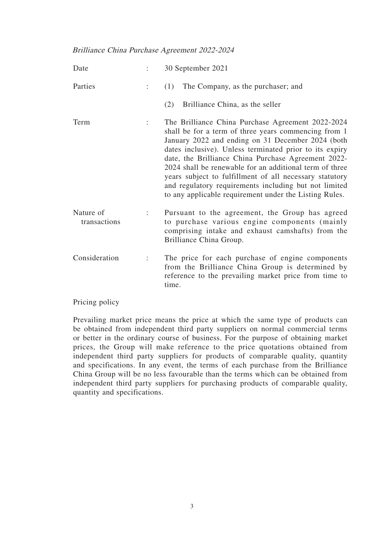#### Brilliance China Purchase Agreement 2022-2024

| Date                      |   | 30 September 2021                                                                                                                                                                                                                                                                                                                                                                                                                                                                                                         |
|---------------------------|---|---------------------------------------------------------------------------------------------------------------------------------------------------------------------------------------------------------------------------------------------------------------------------------------------------------------------------------------------------------------------------------------------------------------------------------------------------------------------------------------------------------------------------|
| Parties                   | ÷ | The Company, as the purchaser; and<br>(1)                                                                                                                                                                                                                                                                                                                                                                                                                                                                                 |
|                           |   | Brilliance China, as the seller<br>(2)                                                                                                                                                                                                                                                                                                                                                                                                                                                                                    |
| Term                      | ÷ | The Brilliance China Purchase Agreement 2022-2024<br>shall be for a term of three years commencing from 1<br>January 2022 and ending on 31 December 2024 (both<br>dates inclusive). Unless terminated prior to its expiry<br>date, the Brilliance China Purchase Agreement 2022-<br>2024 shall be renewable for an additional term of three<br>years subject to fulfillment of all necessary statutory<br>and regulatory requirements including but not limited<br>to any applicable requirement under the Listing Rules. |
| Nature of<br>transactions | ÷ | Pursuant to the agreement, the Group has agreed<br>to purchase various engine components (mainly<br>comprising intake and exhaust camshafts) from the<br>Brilliance China Group.                                                                                                                                                                                                                                                                                                                                          |
| Consideration             |   | The price for each purchase of engine components<br>from the Brilliance China Group is determined by<br>reference to the prevailing market price from time to<br>time.                                                                                                                                                                                                                                                                                                                                                    |

Pricing policy

Prevailing market price means the price at which the same type of products can be obtained from independent third party suppliers on normal commercial terms or better in the ordinary course of business. For the purpose of obtaining market prices, the Group will make reference to the price quotations obtained from independent third party suppliers for products of comparable quality, quantity and specifications. In any event, the terms of each purchase from the Brilliance China Group will be no less favourable than the terms which can be obtained from independent third party suppliers for purchasing products of comparable quality, quantity and specifications.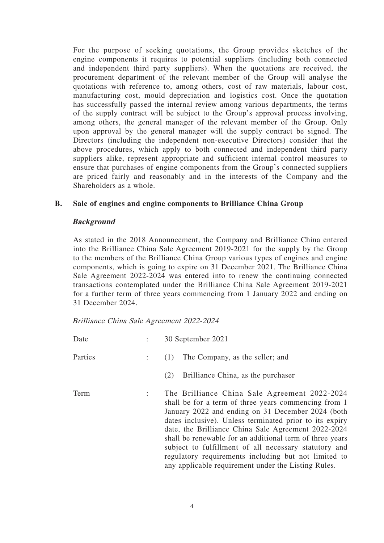For the purpose of seeking quotations, the Group provides sketches of the engine components it requires to potential suppliers (including both connected and independent third party suppliers). When the quotations are received, the procurement department of the relevant member of the Group will analyse the quotations with reference to, among others, cost of raw materials, labour cost, manufacturing cost, mould depreciation and logistics cost. Once the quotation has successfully passed the internal review among various departments, the terms of the supply contract will be subject to the Group's approval process involving, among others, the general manager of the relevant member of the Group. Only upon approval by the general manager will the supply contract be signed. The Directors (including the independent non-executive Directors) consider that the above procedures, which apply to both connected and independent third party suppliers alike, represent appropriate and sufficient internal control measures to ensure that purchases of engine components from the Group's connected suppliers are priced fairly and reasonably and in the interests of the Company and the Shareholders as a whole.

## **B. Sale of engines and engine components to Brilliance China Group**

## **Background**

As stated in the 2018 Announcement, the Company and Brilliance China entered into the Brilliance China Sale Agreement 2019-2021 for the supply by the Group to the members of the Brilliance China Group various types of engines and engine components, which is going to expire on 31 December 2021. The Brilliance China Sale Agreement 2022-2024 was entered into to renew the continuing connected transactions contemplated under the Brilliance China Sale Agreement 2019-2021 for a further term of three years commencing from 1 January 2022 and ending on 31 December 2024.

Brilliance China Sale Agreement 2022-2024

| Date    | 30 September 2021                                                                                                                                                                                                                                                                                                                                                                                                                                                                                                |
|---------|------------------------------------------------------------------------------------------------------------------------------------------------------------------------------------------------------------------------------------------------------------------------------------------------------------------------------------------------------------------------------------------------------------------------------------------------------------------------------------------------------------------|
| Parties | The Company, as the seller; and<br>(1)                                                                                                                                                                                                                                                                                                                                                                                                                                                                           |
|         | Brilliance China, as the purchaser<br>(2)                                                                                                                                                                                                                                                                                                                                                                                                                                                                        |
| Term    | The Brilliance China Sale Agreement 2022-2024<br>shall be for a term of three years commencing from 1<br>January 2022 and ending on 31 December 2024 (both<br>dates inclusive). Unless terminated prior to its expiry<br>date, the Brilliance China Sale Agreement 2022-2024<br>shall be renewable for an additional term of three years<br>subject to fulfillment of all necessary statutory and<br>regulatory requirements including but not limited to<br>any applicable requirement under the Listing Rules. |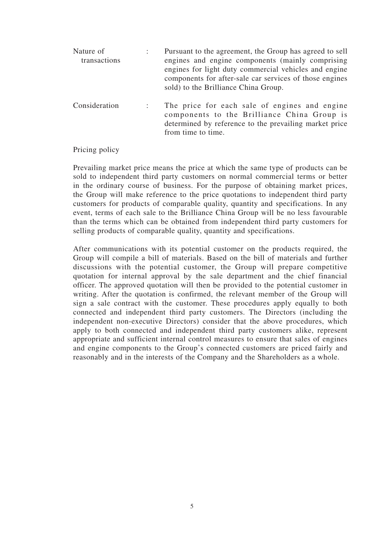| Nature of<br>transactions | Pursuant to the agreement, the Group has agreed to sell<br>engines and engine components (mainly comprising<br>engines for light duty commercial vehicles and engine<br>components for after-sale car services of those engines<br>sold) to the Brilliance China Group. |
|---------------------------|-------------------------------------------------------------------------------------------------------------------------------------------------------------------------------------------------------------------------------------------------------------------------|
| Consideration             | The price for each sale of engines and engine<br>components to the Brilliance China Group is<br>determined by reference to the prevailing market price<br>from time to time.                                                                                            |

Pricing policy

Prevailing market price means the price at which the same type of products can be sold to independent third party customers on normal commercial terms or better in the ordinary course of business. For the purpose of obtaining market prices, the Group will make reference to the price quotations to independent third party customers for products of comparable quality, quantity and specifications. In any event, terms of each sale to the Brilliance China Group will be no less favourable than the terms which can be obtained from independent third party customers for selling products of comparable quality, quantity and specifications.

After communications with its potential customer on the products required, the Group will compile a bill of materials. Based on the bill of materials and further discussions with the potential customer, the Group will prepare competitive quotation for internal approval by the sale department and the chief financial officer. The approved quotation will then be provided to the potential customer in writing. After the quotation is confirmed, the relevant member of the Group will sign a sale contract with the customer. These procedures apply equally to both connected and independent third party customers. The Directors (including the independent non-executive Directors) consider that the above procedures, which apply to both connected and independent third party customers alike, represent appropriate and sufficient internal control measures to ensure that sales of engines and engine components to the Group's connected customers are priced fairly and reasonably and in the interests of the Company and the Shareholders as a whole.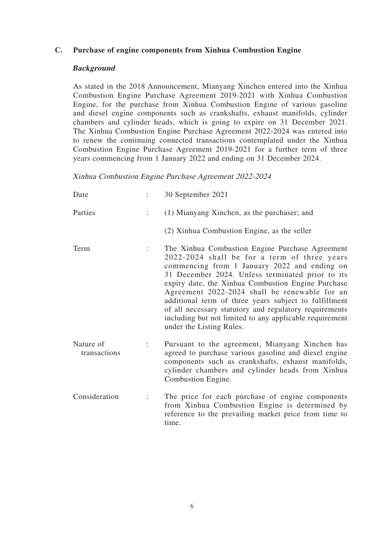# **C. Purchase of engine components from Xinhua Combustion Engine**

#### **Background**

As stated in the 2018 Announcement, Mianyang Xinchen entered into the Xinhua Combustion Engine Purchase Agreement 2019-2021 with Xinhua Combustion Engine, for the purchase from Xinhua Combustion Engine of various gasoline and diesel engine components such as crankshafts, exhaust manifolds, cylinder chambers and cylinder heads, which is going to expire on 31 December 2021. The Xinhua Combustion Engine Purchase Agreement 2022-2024 was entered into to renew the continuing connected transactions contemplated under the Xinhua Combustion Engine Purchase Agreement 2019-2021 for a further term of three years commencing from 1 January 2022 and ending on 31 December 2024.

Xinhua Combustion Engine Purchase Agreement 2022-2024

| Date                      |   | 30 September 2021                                                                                                                                                                                                                                                                                                                                                                                                                                                                                                    |
|---------------------------|---|----------------------------------------------------------------------------------------------------------------------------------------------------------------------------------------------------------------------------------------------------------------------------------------------------------------------------------------------------------------------------------------------------------------------------------------------------------------------------------------------------------------------|
| Parties                   | ÷ | (1) Mianyang Xinchen, as the purchaser; and                                                                                                                                                                                                                                                                                                                                                                                                                                                                          |
|                           |   | (2) Xinhua Combustion Engine, as the seller                                                                                                                                                                                                                                                                                                                                                                                                                                                                          |
| Term                      |   | The Xinhua Combustion Engine Purchase Agreement<br>2022-2024 shall be for a term of three years<br>commencing from 1 January 2022 and ending on<br>31 December 2024. Unless terminated prior to its<br>expiry date, the Xinhua Combustion Engine Purchase<br>Agreement 2022-2024 shall be renewable for an<br>additional term of three years subject to fulfillment<br>of all necessary statutory and regulatory requirements<br>including but not limited to any applicable requirement<br>under the Listing Rules. |
| Nature of<br>transactions | ÷ | Pursuant to the agreement, Mianyang Xinchen has<br>agreed to purchase various gasoline and diesel engine<br>components such as crankshafts, exhaust manifolds,<br>cylinder chambers and cylinder heads from Xinhua<br>Combustion Engine.                                                                                                                                                                                                                                                                             |
| Consideration             | ÷ | The price for each purchase of engine components<br>from Xinhua Combustion Engine is determined by<br>reference to the prevailing market price from time to<br>time.                                                                                                                                                                                                                                                                                                                                                 |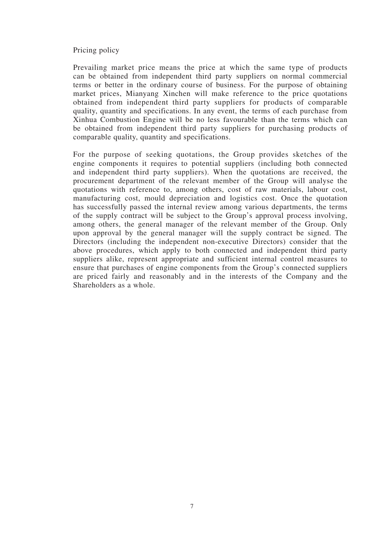#### Pricing policy

Prevailing market price means the price at which the same type of products can be obtained from independent third party suppliers on normal commercial terms or better in the ordinary course of business. For the purpose of obtaining market prices, Mianyang Xinchen will make reference to the price quotations obtained from independent third party suppliers for products of comparable quality, quantity and specifications. In any event, the terms of each purchase from Xinhua Combustion Engine will be no less favourable than the terms which can be obtained from independent third party suppliers for purchasing products of comparable quality, quantity and specifications.

For the purpose of seeking quotations, the Group provides sketches of the engine components it requires to potential suppliers (including both connected and independent third party suppliers). When the quotations are received, the procurement department of the relevant member of the Group will analyse the quotations with reference to, among others, cost of raw materials, labour cost, manufacturing cost, mould depreciation and logistics cost. Once the quotation has successfully passed the internal review among various departments, the terms of the supply contract will be subject to the Group's approval process involving, among others, the general manager of the relevant member of the Group. Only upon approval by the general manager will the supply contract be signed. The Directors (including the independent non-executive Directors) consider that the above procedures, which apply to both connected and independent third party suppliers alike, represent appropriate and sufficient internal control measures to ensure that purchases of engine components from the Group's connected suppliers are priced fairly and reasonably and in the interests of the Company and the Shareholders as a whole.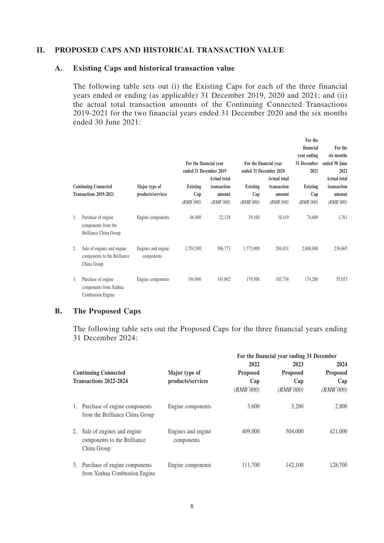#### **II. PROPOSED CAPS AND HISTORICAL TRANSACTION VALUE**

#### **A. Existing Caps and historical transaction value**

The following table sets out (i) the Existing Caps for each of the three financial years ended or ending (as applicable) 31 December 2019, 2020 and 2021; and (ii) the actual total transaction amounts of the Continuing Connected Transactions 2019-2021 for the two financial years ended 31 December 2020 and the six months ended 30 June 2021:

|    | <b>Continuing Connected</b><br>Transactions 2019-2021                     | Major type of<br>products/services | For the financial year<br>ended 31 December 2019<br><b>Existing</b><br>Cap<br>(RMB'000) | <b>Actual total</b><br>transaction<br>amount<br>(RMB'000) | For the financial year<br>ended 31 December 2020<br><b>Existing</b><br>Cap<br>(RMB'000) | <b>Actual total</b><br>transaction<br>amount<br>(RMB'000) | For the<br>financial<br>year ending<br>31 December<br>2021<br><b>Existing</b><br>Cap<br>(RMB'000) | For the<br>six months<br>ended 30 June<br>2021<br><b>Actual total</b><br>transaction<br>amount<br>(RMB'000) |
|----|---------------------------------------------------------------------------|------------------------------------|-----------------------------------------------------------------------------------------|-----------------------------------------------------------|-----------------------------------------------------------------------------------------|-----------------------------------------------------------|---------------------------------------------------------------------------------------------------|-------------------------------------------------------------------------------------------------------------|
| 1. | Purchase of engine<br>components from the<br>Brilliance China Group       | Engine components                  | 46,400                                                                                  | 22,128                                                    | 39,100                                                                                  | 10,419                                                    | 74,600                                                                                            | 1,761                                                                                                       |
| 2. | Sale of engines and engine<br>components to the Brilliance<br>China Group | Engines and engine<br>components   | 1,754,500                                                                               | 386,773                                                   | 1,775,000                                                                               | 284,831                                                   | 2,600,000                                                                                         | 236,665                                                                                                     |
| 3. | Purchase of engine<br>components from Xinhua<br><b>Combustion Engine</b>  | Engine components                  | 194,900                                                                                 | 145,802                                                   | 179,500                                                                                 | 103,736                                                   | 174,200                                                                                           | 55,053                                                                                                      |

#### **B. The Proposed Caps**

The following table sets out the Proposed Caps for the three financial years ending 31 December 2024:

|    |                                                                           |                                  |                 | For the financial year ending 31 December |                    |
|----|---------------------------------------------------------------------------|----------------------------------|-----------------|-------------------------------------------|--------------------|
|    |                                                                           |                                  | 2022            | 2023                                      | 2024               |
|    | <b>Continuing Connected</b>                                               | Major type of                    | <b>Proposed</b> | <b>Proposed</b>                           | <b>Proposed</b>    |
|    | Transactions 2022-2024                                                    | products/services                | Cap             | Cap                                       | Cap                |
|    |                                                                           |                                  | (RMB'000)       | (RMB'000)                                 | ( <i>RMB</i> '000) |
| 1. | Purchase of engine components<br>from the Brilliance China Group          | Engine components                | 3.600           | 3.200                                     | 2.800              |
| 2. | Sale of engines and engine<br>components to the Brilliance<br>China Group | Engines and engine<br>components | 409,000         | 504,000                                   | 421,000            |
| 3. | Purchase of engine components<br>from Xinhua Combustion Engine            | Engine components                | 111.700         | 142,100                                   | 128,700            |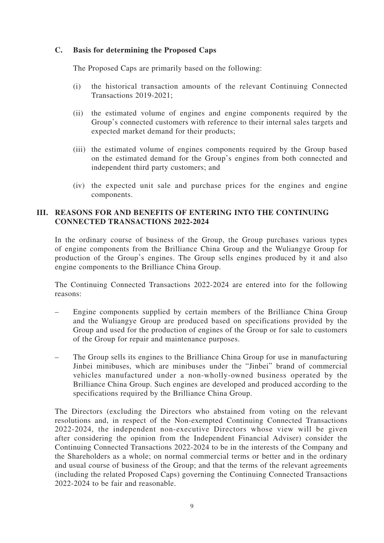# **C. Basis for determining the Proposed Caps**

The Proposed Caps are primarily based on the following:

- (i) the historical transaction amounts of the relevant Continuing Connected Transactions 2019-2021;
- (ii) the estimated volume of engines and engine components required by the Group's connected customers with reference to their internal sales targets and expected market demand for their products;
- (iii) the estimated volume of engines components required by the Group based on the estimated demand for the Group's engines from both connected and independent third party customers; and
- (iv) the expected unit sale and purchase prices for the engines and engine components.

# **III. REASONS FOR AND BENEFITS OF ENTERING INTO THE CONTINUING CONNECTED TRANSACTIONS 2022-2024**

In the ordinary course of business of the Group, the Group purchases various types of engine components from the Brilliance China Group and the Wuliangye Group for production of the Group's engines. The Group sells engines produced by it and also engine components to the Brilliance China Group.

The Continuing Connected Transactions 2022-2024 are entered into for the following reasons:

- Engine components supplied by certain members of the Brilliance China Group and the Wuliangye Group are produced based on specifications provided by the Group and used for the production of engines of the Group or for sale to customers of the Group for repair and maintenance purposes.
- The Group sells its engines to the Brilliance China Group for use in manufacturing Jinbei minibuses, which are minibuses under the "Jinbei" brand of commercial vehicles manufactured under a non-wholly-owned business operated by the Brilliance China Group. Such engines are developed and produced according to the specifications required by the Brilliance China Group.

The Directors (excluding the Directors who abstained from voting on the relevant resolutions and, in respect of the Non-exempted Continuing Connected Transactions 2022-2024, the independent non-executive Directors whose view will be given after considering the opinion from the Independent Financial Adviser) consider the Continuing Connected Transactions 2022-2024 to be in the interests of the Company and the Shareholders as a whole; on normal commercial terms or better and in the ordinary and usual course of business of the Group; and that the terms of the relevant agreements (including the related Proposed Caps) governing the Continuing Connected Transactions 2022-2024 to be fair and reasonable.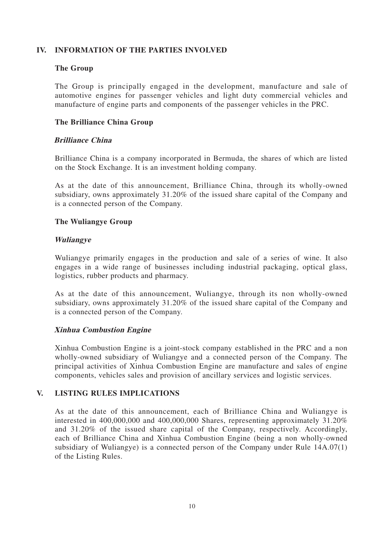# **IV. INFORMATION OF THE PARTIES INVOLVED**

# **The Group**

The Group is principally engaged in the development, manufacture and sale of automotive engines for passenger vehicles and light duty commercial vehicles and manufacture of engine parts and components of the passenger vehicles in the PRC.

## **The Brilliance China Group**

## **Brilliance China**

Brilliance China is a company incorporated in Bermuda, the shares of which are listed on the Stock Exchange. It is an investment holding company.

As at the date of this announcement, Brilliance China, through its wholly-owned subsidiary, owns approximately 31.20% of the issued share capital of the Company and is a connected person of the Company.

## **The Wuliangye Group**

## **Wuliangye**

Wuliangye primarily engages in the production and sale of a series of wine. It also engages in a wide range of businesses including industrial packaging, optical glass, logistics, rubber products and pharmacy.

As at the date of this announcement, Wuliangye, through its non wholly-owned subsidiary, owns approximately 31.20% of the issued share capital of the Company and is a connected person of the Company.

# **Xinhua Combustion Engine**

Xinhua Combustion Engine is a joint-stock company established in the PRC and a non wholly-owned subsidiary of Wuliangye and a connected person of the Company. The principal activities of Xinhua Combustion Engine are manufacture and sales of engine components, vehicles sales and provision of ancillary services and logistic services.

# **V. LISTING RULES IMPLICATIONS**

As at the date of this announcement, each of Brilliance China and Wuliangye is interested in 400,000,000 and 400,000,000 Shares, representing approximately 31.20% and 31.20% of the issued share capital of the Company, respectively. Accordingly, each of Brilliance China and Xinhua Combustion Engine (being a non wholly-owned subsidiary of Wuliangye) is a connected person of the Company under Rule 14A.07(1) of the Listing Rules.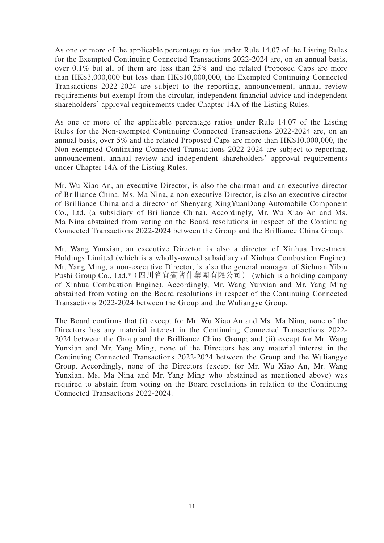As one or more of the applicable percentage ratios under Rule 14.07 of the Listing Rules for the Exempted Continuing Connected Transactions 2022-2024 are, on an annual basis, over 0.1% but all of them are less than 25% and the related Proposed Caps are more than HK\$3,000,000 but less than HK\$10,000,000, the Exempted Continuing Connected Transactions 2022-2024 are subject to the reporting, announcement, annual review requirements but exempt from the circular, independent financial advice and independent shareholders' approval requirements under Chapter 14A of the Listing Rules.

As one or more of the applicable percentage ratios under Rule 14.07 of the Listing Rules for the Non-exempted Continuing Connected Transactions 2022-2024 are, on an annual basis, over 5% and the related Proposed Caps are more than HK\$10,000,000, the Non-exempted Continuing Connected Transactions 2022-2024 are subject to reporting, announcement, annual review and independent shareholders' approval requirements under Chapter 14A of the Listing Rules.

Mr. Wu Xiao An, an executive Director, is also the chairman and an executive director of Brilliance China. Ms. Ma Nina, a non-executive Director, is also an executive director of Brilliance China and a director of Shenyang XingYuanDong Automobile Component Co., Ltd. (a subsidiary of Brilliance China). Accordingly, Mr. Wu Xiao An and Ms. Ma Nina abstained from voting on the Board resolutions in respect of the Continuing Connected Transactions 2022-2024 between the Group and the Brilliance China Group.

Mr. Wang Yunxian, an executive Director, is also a director of Xinhua Investment Holdings Limited (which is a wholly-owned subsidiary of Xinhua Combustion Engine). Mr. Yang Ming, a non-executive Director, is also the general manager of Sichuan Yibin Pushi Group Co., Ltd.\*(四川省宜賓普什集團有限公司) (which is a holding company of Xinhua Combustion Engine). Accordingly, Mr. Wang Yunxian and Mr. Yang Ming abstained from voting on the Board resolutions in respect of the Continuing Connected Transactions 2022-2024 between the Group and the Wuliangye Group.

The Board confirms that (i) except for Mr. Wu Xiao An and Ms. Ma Nina, none of the Directors has any material interest in the Continuing Connected Transactions 2022- 2024 between the Group and the Brilliance China Group; and (ii) except for Mr. Wang Yunxian and Mr. Yang Ming, none of the Directors has any material interest in the Continuing Connected Transactions 2022-2024 between the Group and the Wuliangye Group. Accordingly, none of the Directors (except for Mr. Wu Xiao An, Mr. Wang Yunxian, Ms. Ma Nina and Mr. Yang Ming who abstained as mentioned above) was required to abstain from voting on the Board resolutions in relation to the Continuing Connected Transactions 2022-2024.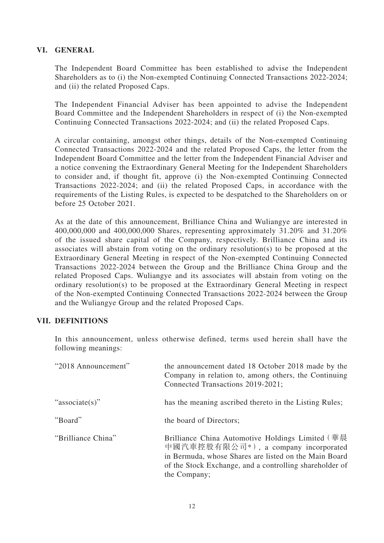# **VI. GENERAL**

The Independent Board Committee has been established to advise the Independent Shareholders as to (i) the Non-exempted Continuing Connected Transactions 2022-2024; and (ii) the related Proposed Caps.

The Independent Financial Adviser has been appointed to advise the Independent Board Committee and the Independent Shareholders in respect of (i) the Non-exempted Continuing Connected Transactions 2022-2024; and (ii) the related Proposed Caps.

A circular containing, amongst other things, details of the Non-exempted Continuing Connected Transactions 2022-2024 and the related Proposed Caps, the letter from the Independent Board Committee and the letter from the Independent Financial Adviser and a notice convening the Extraordinary General Meeting for the Independent Shareholders to consider and, if thought fit, approve (i) the Non-exempted Continuing Connected Transactions 2022-2024; and (ii) the related Proposed Caps, in accordance with the requirements of the Listing Rules, is expected to be despatched to the Shareholders on or before 25 October 2021.

As at the date of this announcement, Brilliance China and Wuliangye are interested in 400,000,000 and 400,000,000 Shares, representing approximately 31.20% and 31.20% of the issued share capital of the Company, respectively. Brilliance China and its associates will abstain from voting on the ordinary resolution(s) to be proposed at the Extraordinary General Meeting in respect of the Non-exempted Continuing Connected Transactions 2022-2024 between the Group and the Brilliance China Group and the related Proposed Caps. Wuliangye and its associates will abstain from voting on the ordinary resolution(s) to be proposed at the Extraordinary General Meeting in respect of the Non-exempted Continuing Connected Transactions 2022-2024 between the Group and the Wuliangye Group and the related Proposed Caps.

#### **VII. DEFINITIONS**

In this announcement, unless otherwise defined, terms used herein shall have the following meanings:

| "2018 Announcement" | the announcement dated 18 October 2018 made by the<br>Company in relation to, among others, the Continuing<br>Connected Transactions 2019-2021;                                                                              |
|---------------------|------------------------------------------------------------------------------------------------------------------------------------------------------------------------------------------------------------------------------|
| "associate(s)"      | has the meaning ascribed thereto in the Listing Rules;                                                                                                                                                                       |
| "Board"             | the board of Directors;                                                                                                                                                                                                      |
| "Brilliance China"  | Brilliance China Automotive Holdings Limited (華晨<br>中國汽車控股有限公司*), a company incorporated<br>in Bermuda, whose Shares are listed on the Main Board<br>of the Stock Exchange, and a controlling shareholder of<br>the Company; |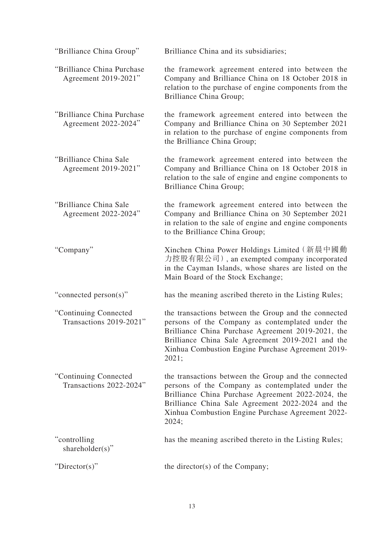| "Brilliance China Group"                            | Brilliance China and its subsidiaries;                                                                                                                                                                                                                                            |
|-----------------------------------------------------|-----------------------------------------------------------------------------------------------------------------------------------------------------------------------------------------------------------------------------------------------------------------------------------|
| "Brilliance China Purchase<br>Agreement 2019-2021"  | the framework agreement entered into between the<br>Company and Brilliance China on 18 October 2018 in<br>relation to the purchase of engine components from the<br><b>Brilliance China Group;</b>                                                                                |
| "Brilliance China Purchase"<br>Agreement 2022-2024" | the framework agreement entered into between the<br>Company and Brilliance China on 30 September 2021<br>in relation to the purchase of engine components from<br>the Brilliance China Group;                                                                                     |
| "Brilliance China Sale<br>Agreement 2019-2021"      | the framework agreement entered into between the<br>Company and Brilliance China on 18 October 2018 in<br>relation to the sale of engine and engine components to<br>Brilliance China Group;                                                                                      |
| "Brilliance China Sale<br>Agreement 2022-2024"      | the framework agreement entered into between the<br>Company and Brilliance China on 30 September 2021<br>in relation to the sale of engine and engine components<br>to the Brilliance China Group;                                                                                |
| "Company"                                           | Xinchen China Power Holdings Limited (新晨中國動<br>力控股有限公司), an exempted company incorporated<br>in the Cayman Islands, whose shares are listed on the<br>Main Board of the Stock Exchange;                                                                                           |
| "connected person(s)"                               | has the meaning ascribed thereto in the Listing Rules;                                                                                                                                                                                                                            |
| "Continuing Connected<br>Transactions 2019-2021"    | the transactions between the Group and the connected<br>persons of the Company as contemplated under the<br>Brilliance China Purchase Agreement 2019-2021, the<br>Brilliance China Sale Agreement 2019-2021 and the<br>Xinhua Combustion Engine Purchase Agreement 2019-<br>2021; |
| "Continuing Connected<br>Transactions 2022-2024"    | the transactions between the Group and the connected<br>persons of the Company as contemplated under the<br>Brilliance China Purchase Agreement 2022-2024, the<br>Brilliance China Sale Agreement 2022-2024 and the<br>Xinhua Combustion Engine Purchase Agreement 2022-<br>2024; |
| "controlling"<br>shareholder(s)"                    | has the meaning ascribed thereto in the Listing Rules;                                                                                                                                                                                                                            |
| " $Directory$ "                                     | the director(s) of the Company;                                                                                                                                                                                                                                                   |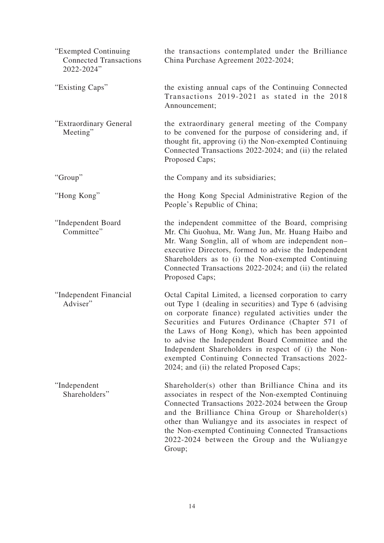| "Exempted Continuing"<br><b>Connected Transactions</b><br>2022-2024" | the transactions contemplated under the Brilliance<br>China Purchase Agreement 2022-2024;                                                                                                                                                                                                                                                                                                                                                                                                      |
|----------------------------------------------------------------------|------------------------------------------------------------------------------------------------------------------------------------------------------------------------------------------------------------------------------------------------------------------------------------------------------------------------------------------------------------------------------------------------------------------------------------------------------------------------------------------------|
| "Existing Caps"                                                      | the existing annual caps of the Continuing Connected<br>Transactions 2019-2021 as stated in the 2018<br>Announcement;                                                                                                                                                                                                                                                                                                                                                                          |
| "Extraordinary General<br>Meeting"                                   | the extraordinary general meeting of the Company<br>to be convened for the purpose of considering and, if<br>thought fit, approving (i) the Non-exempted Continuing<br>Connected Transactions 2022-2024; and (ii) the related<br>Proposed Caps;                                                                                                                                                                                                                                                |
| "Group"                                                              | the Company and its subsidiaries;                                                                                                                                                                                                                                                                                                                                                                                                                                                              |
| "Hong Kong"                                                          | the Hong Kong Special Administrative Region of the<br>People's Republic of China;                                                                                                                                                                                                                                                                                                                                                                                                              |
| "Independent Board<br>Committee"                                     | the independent committee of the Board, comprising<br>Mr. Chi Guohua, Mr. Wang Jun, Mr. Huang Haibo and<br>Mr. Wang Songlin, all of whom are independent non-<br>executive Directors, formed to advise the Independent<br>Shareholders as to (i) the Non-exempted Continuing<br>Connected Transactions 2022-2024; and (ii) the related<br>Proposed Caps;                                                                                                                                       |
| "Independent Financial<br>Adviser"                                   | Octal Capital Limited, a licensed corporation to carry<br>out Type 1 (dealing in securities) and Type 6 (advising<br>on corporate finance) regulated activities under the<br>Securities and Futures Ordinance (Chapter 571 of<br>the Laws of Hong Kong), which has been appointed<br>to advise the Independent Board Committee and the<br>Independent Shareholders in respect of (i) the Non-<br>exempted Continuing Connected Transactions 2022-<br>2024; and (ii) the related Proposed Caps; |
| "Independent<br>Shareholders"                                        | Shareholder(s) other than Brilliance China and its<br>associates in respect of the Non-exempted Continuing<br>Connected Transactions 2022-2024 between the Group<br>and the Brilliance China Group or Shareholder(s)<br>other than Wuliangye and its associates in respect of<br>the Non-exempted Continuing Connected Transactions<br>2022-2024 between the Group and the Wuliangye<br>Group;                                                                                                 |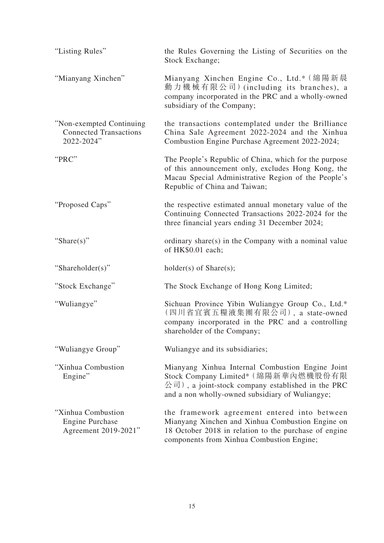| "Listing Rules"                                                          | the Rules Governing the Listing of Securities on the<br>Stock Exchange;                                                                                                                                          |
|--------------------------------------------------------------------------|------------------------------------------------------------------------------------------------------------------------------------------------------------------------------------------------------------------|
| "Mianyang Xinchen"                                                       | Mianyang Xinchen Engine Co., Ltd.* (綿陽新晨<br>動力機械有限公司)(including its branches), a<br>company incorporated in the PRC and a wholly-owned<br>subsidiary of the Company;                                             |
| "Non-exempted Continuing"<br><b>Connected Transactions</b><br>2022-2024" | the transactions contemplated under the Brilliance<br>China Sale Agreement 2022-2024 and the Xinhua<br>Combustion Engine Purchase Agreement 2022-2024;                                                           |
| "PRC"                                                                    | The People's Republic of China, which for the purpose<br>of this announcement only, excludes Hong Kong, the<br>Macau Special Administrative Region of the People's<br>Republic of China and Taiwan;              |
| "Proposed Caps"                                                          | the respective estimated annual monetary value of the<br>Continuing Connected Transactions 2022-2024 for the<br>three financial years ending 31 December 2024;                                                   |
| "Share(s)"                                                               | ordinary share(s) in the Company with a nominal value<br>of HK\$0.01 each;                                                                                                                                       |
| "Shareholder(s)"                                                         | $holder(s)$ of Share $(s)$ ;                                                                                                                                                                                     |
| "Stock Exchange"                                                         | The Stock Exchange of Hong Kong Limited;                                                                                                                                                                         |
| "Wuliangye"                                                              | Sichuan Province Yibin Wuliangye Group Co., Ltd.*<br>(四川省宜賓五糧液集團有限公司), a state-owned<br>company incorporated in the PRC and a controlling<br>shareholder of the Company;                                         |
| "Wuliangye Group"                                                        | Wuliangye and its subsidiaries;                                                                                                                                                                                  |
| "Xinhua Combustion<br>Engine"                                            | Mianyang Xinhua Internal Combustion Engine Joint<br>Stock Company Limited* (綿陽新華內燃機股份有限<br>$\Diamond \exists$ ), a joint-stock company established in the PRC<br>and a non wholly-owned subsidiary of Wuliangye; |
| "Xinhua Combustion<br><b>Engine Purchase</b><br>Agreement 2019-2021"     | the framework agreement entered into between<br>Mianyang Xinchen and Xinhua Combustion Engine on<br>18 October 2018 in relation to the purchase of engine<br>components from Xinhua Combustion Engine;           |